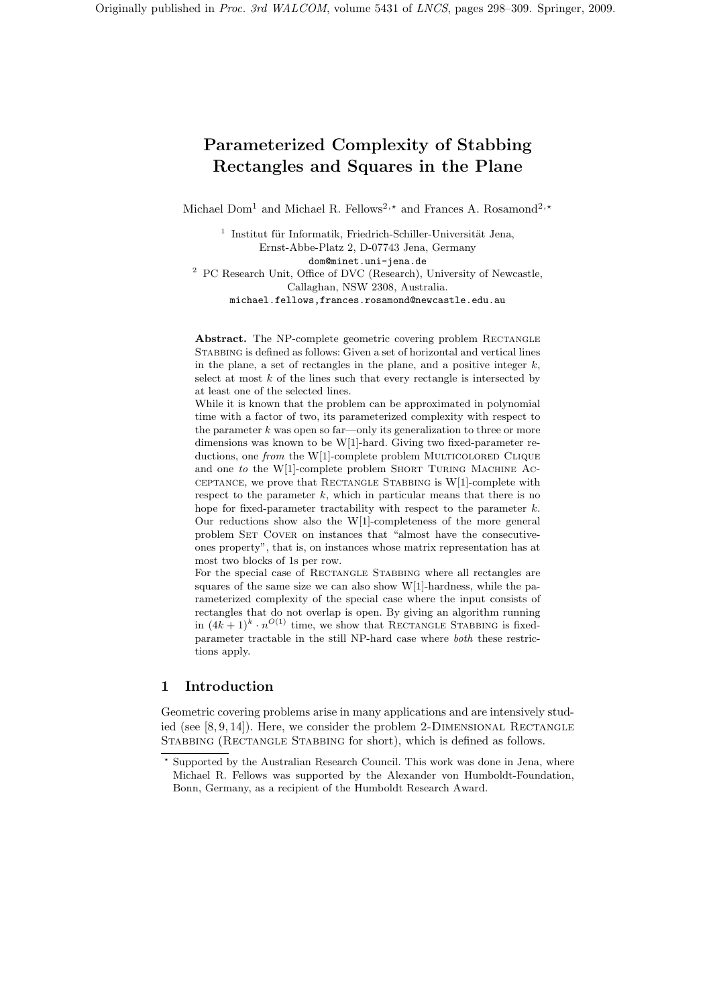# Parameterized Complexity of Stabbing Rectangles and Squares in the Plane

Michael Dom<sup>1</sup> and Michael R. Fellows<sup>2,\*</sup> and Frances A. Rosamond<sup>2,\*</sup>

<sup>1</sup> Institut für Informatik, Friedrich-Schiller-Universität Jena, Ernst-Abbe-Platz 2, D-07743 Jena, Germany dom@minet.uni-jena.de <sup>2</sup> PC Research Unit, Office of DVC (Research), University of Newcastle, Callaghan, NSW 2308, Australia. michael.fellows,frances.rosamond@newcastle.edu.au

Abstract. The NP-complete geometric covering problem RECTANGLE Stabbing is defined as follows: Given a set of horizontal and vertical lines in the plane, a set of rectangles in the plane, and a positive integer  $k$ , select at most  $k$  of the lines such that every rectangle is intersected by at least one of the selected lines.

While it is known that the problem can be approximated in polynomial time with a factor of two, its parameterized complexity with respect to the parameter  $k$  was open so far—only its generalization to three or more dimensions was known to be W[1]-hard. Giving two fixed-parameter reductions, one from the W[1]-complete problem MULTICOLORED CLIQUE and one to the W[1]-complete problem SHORT TURING MACHINE AC- $CEPTANCE$ , we prove that RECTANGLE STABBING is  $W[1]$ -complete with respect to the parameter  $k$ , which in particular means that there is no hope for fixed-parameter tractability with respect to the parameter  $k$ . Our reductions show also the W[1]-completeness of the more general problem SET COVER on instances that "almost have the consecutiveones property", that is, on instances whose matrix representation has at most two blocks of 1s per row.

For the special case of RECTANGLE STABBING where all rectangles are squares of the same size we can also show W[1]-hardness, while the parameterized complexity of the special case where the input consists of rectangles that do not overlap is open. By giving an algorithm running in  $(4k+1)^k \cdot n^{O(1)}$  time, we show that RECTANGLE STABBING is fixedparameter tractable in the still NP-hard case where both these restrictions apply.

# 1 Introduction

Geometric covering problems arise in many applications and are intensively studied (see  $[8, 9, 14]$ ). Here, we consider the problem 2-DIMENSIONAL RECTANGLE STABBING (RECTANGLE STABBING for short), which is defined as follows.

<sup>⋆</sup> Supported by the Australian Research Council. This work was done in Jena, where Michael R. Fellows was supported by the Alexander von Humboldt-Foundation, Bonn, Germany, as a recipient of the Humboldt Research Award.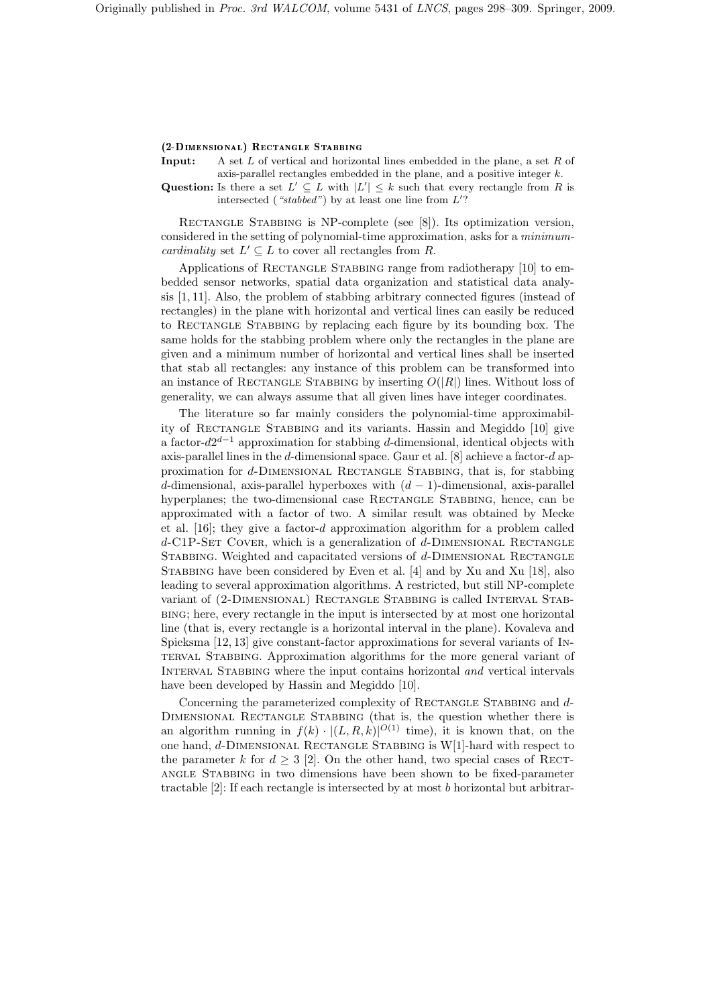### (2-DIMENSIONAL) RECTANGLE STABBING

**Input:** A set L of vertical and horizontal lines embedded in the plane, a set R of axis-parallel rectangles embedded in the plane, and a positive integer  $k$ .

Question: Is there a set  $L' \subseteq L$  with  $|L'| \leq k$  such that every rectangle from R is intersected ("stabbed") by at least one line from  $L'$ ?

RECTANGLE STABBING is NP-complete (see [8]). Its optimization version, considered in the setting of polynomial-time approximation, asks for a minimum*cardinality* set  $L' \subseteq L$  to cover all rectangles from R.

Applications of RECTANGLE STABBING range from radiotherapy [10] to embedded sensor networks, spatial data organization and statistical data analysis [1, 11]. Also, the problem of stabbing arbitrary connected figures (instead of rectangles) in the plane with horizontal and vertical lines can easily be reduced to Rectangle Stabbing by replacing each figure by its bounding box. The same holds for the stabbing problem where only the rectangles in the plane are given and a minimum number of horizontal and vertical lines shall be inserted that stab all rectangles: any instance of this problem can be transformed into an instance of RECTANGLE STABBING by inserting  $O(|R|)$  lines. Without loss of generality, we can always assume that all given lines have integer coordinates.

The literature so far mainly considers the polynomial-time approximability of Rectangle Stabbing and its variants. Hassin and Megiddo [10] give a factor- $d2^{d-1}$  approximation for stabbing d-dimensional, identical objects with axis-parallel lines in the d-dimensional space. Gaur et al.  $[8]$  achieve a factor-d approximation for d-DIMENSIONAL RECTANGLE STABBING, that is, for stabbing d-dimensional, axis-parallel hyperboxes with  $(d-1)$ -dimensional, axis-parallel hyperplanes; the two-dimensional case RECTANGLE STABBING, hence, can be approximated with a factor of two. A similar result was obtained by Mecke et al. [16]; they give a factor-d approximation algorithm for a problem called  $d$ -C1P-SET COVER, which is a generalization of  $d$ -DIMENSIONAL RECTANGLE STABBING. Weighted and capacitated versions of d-DIMENSIONAL RECTANGLE STABBING have been considered by Even et al. [4] and by Xu and Xu [18], also leading to several approximation algorithms. A restricted, but still NP-complete variant of (2-Dimensional) Rectangle Stabbing is called Interval Stabbing; here, every rectangle in the input is intersected by at most one horizontal line (that is, every rectangle is a horizontal interval in the plane). Kovaleva and Spieksma [12, 13] give constant-factor approximations for several variants of Interval Stabbing. Approximation algorithms for the more general variant of INTERVAL STABBING where the input contains horizontal and vertical intervals have been developed by Hassin and Megiddo [10].

Concerning the parameterized complexity of RECTANGLE STABBING and d-Dimensional Rectangle Stabbing (that is, the question whether there is an algorithm running in  $f(k) \cdot |(L, R, k)|^{O(1)}$  time), it is known that, on the one hand,  $d$ -DIMENSIONAL RECTANGLE STABBING is W[1]-hard with respect to the parameter k for  $d \geq 3$  [2]. On the other hand, two special cases of RECTangle Stabbing in two dimensions have been shown to be fixed-parameter tractable  $[2]$ : If each rectangle is intersected by at most b horizontal but arbitrar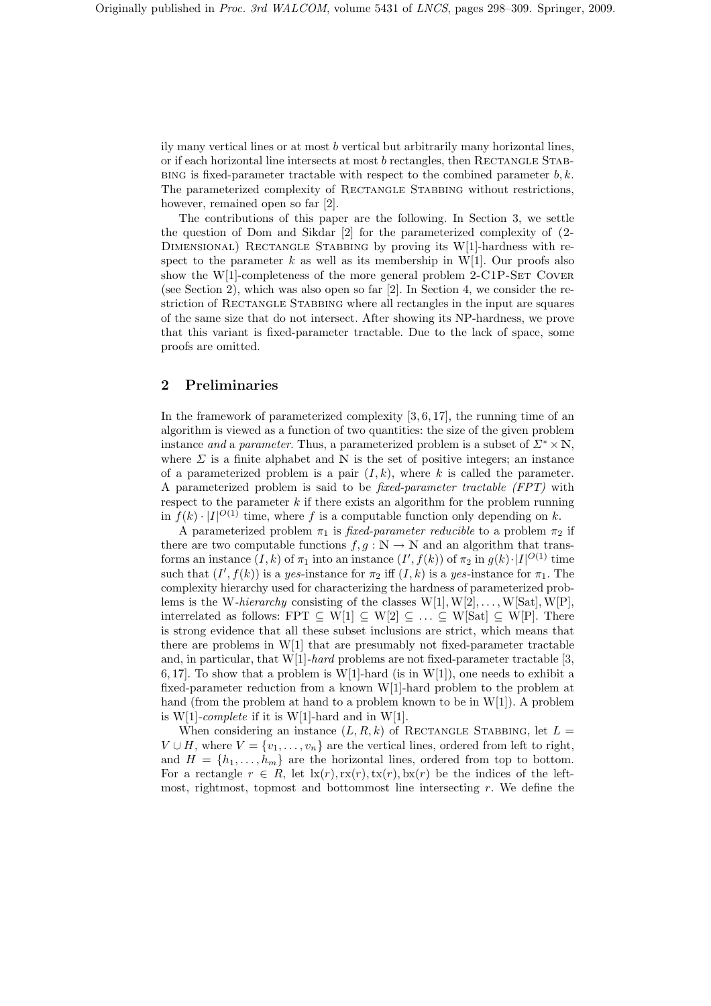ily many vertical lines or at most b vertical but arbitrarily many horizontal lines, or if each horizontal line intersects at most  $b$  rectangles, then RECTANGLE STAB-BING is fixed-parameter tractable with respect to the combined parameter  $b, k$ . The parameterized complexity of RECTANGLE STABBING without restrictions, however, remained open so far [2].

The contributions of this paper are the following. In Section 3, we settle the question of Dom and Sikdar [2] for the parameterized complexity of (2- DIMENSIONAL) RECTANGLE STABBING by proving its W[1]-hardness with respect to the parameter k as well as its membership in W[1]. Our proofs also show the  $W[1]$ -completeness of the more general problem 2-C1P-SET COVER (see Section 2), which was also open so far [2]. In Section 4, we consider the restriction of RECTANGLE STABBING where all rectangles in the input are squares of the same size that do not intersect. After showing its NP-hardness, we prove that this variant is fixed-parameter tractable. Due to the lack of space, some proofs are omitted.

# 2 Preliminaries

In the framework of parameterized complexity [3, 6, 17], the running time of an algorithm is viewed as a function of two quantities: the size of the given problem instance and a parameter. Thus, a parameterized problem is a subset of  $\Sigma^* \times \mathbb{N}$ , where  $\Sigma$  is a finite alphabet and N is the set of positive integers; an instance of a parameterized problem is a pair  $(I, k)$ , where k is called the parameter. A parameterized problem is said to be fixed-parameter tractable (FPT) with respect to the parameter  $k$  if there exists an algorithm for the problem running in  $f(k) \cdot |I|^{O(1)}$  time, where f is a computable function only depending on k.

A parameterized problem  $\pi_1$  is *fixed-parameter reducible* to a problem  $\pi_2$  if there are two computable functions  $f, g : \mathbb{N} \to \mathbb{N}$  and an algorithm that transforms an instance  $(I, k)$  of  $\pi_1$  into an instance  $(I', f(k))$  of  $\pi_2$  in  $g(k) \cdot |I|^{O(1)}$  time such that  $(I', f(k))$  is a yes-instance for  $\pi_2$  iff  $(I, k)$  is a yes-instance for  $\pi_1$ . The complexity hierarchy used for characterizing the hardness of parameterized problems is the W-hierarchy consisting of the classes  $W[1], W[2], \ldots, W[Sat], W[P],$ interrelated as follows: FPT  $\subseteq W[1] \subseteq W[2] \subseteq ... \subseteq W[Sat] \subseteq W[P]$ . There is strong evidence that all these subset inclusions are strict, which means that there are problems in W[1] that are presumably not fixed-parameter tractable and, in particular, that  $W[1]$ -hard problems are not fixed-parameter tractable [3, 6, 17]. To show that a problem is W[1]-hard (is in W[1]), one needs to exhibit a fixed-parameter reduction from a known W[1]-hard problem to the problem at hand (from the problem at hand to a problem known to be in W[1]). A problem is W[1]-complete if it is W[1]-hard and in W[1].

When considering an instance  $(L, R, k)$  of RECTANGLE STABBING, let  $L =$  $V \cup H$ , where  $V = \{v_1, \ldots, v_n\}$  are the vertical lines, ordered from left to right, and  $H = \{h_1, \ldots, h_m\}$  are the horizontal lines, ordered from top to bottom. For a rectangle  $r \in R$ , let  $\text{lx}(r),\text{rx}(r),\text{tx}(r),\text{bx}(r)$  be the indices of the leftmost, rightmost, topmost and bottommost line intersecting  $r$ . We define the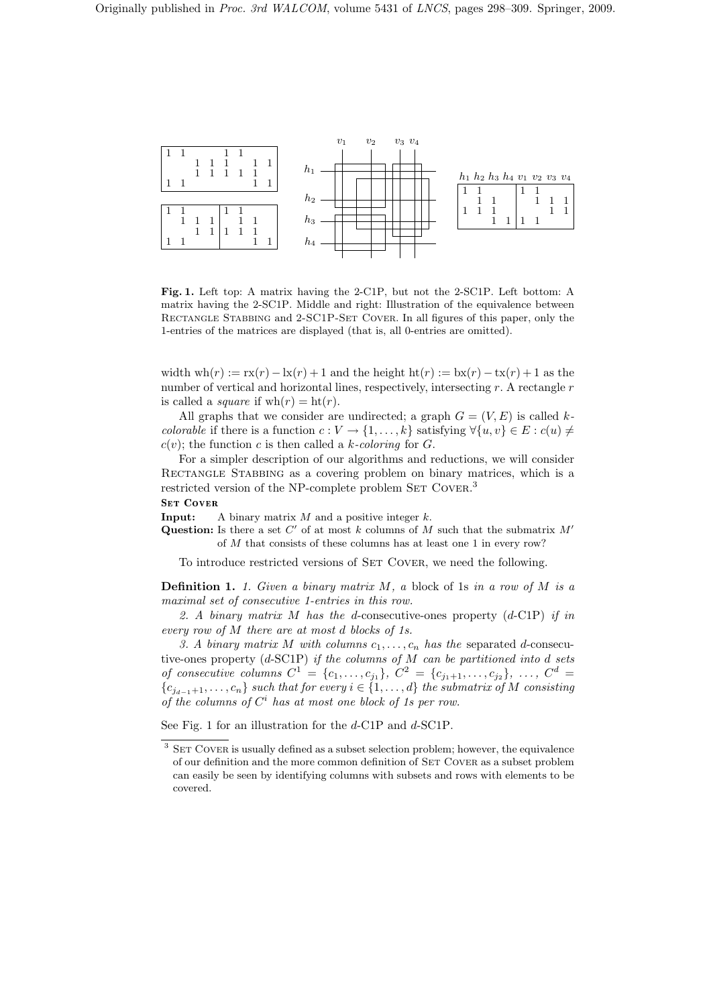

Fig. 1. Left top: A matrix having the 2-C1P, but not the 2-SC1P. Left bottom: A matrix having the 2-SC1P. Middle and right: Illustration of the equivalence between Rectangle Stabbing and 2-SC1P-Set Cover. In all figures of this paper, only the 1-entries of the matrices are displayed (that is, all 0-entries are omitted).

width wh $(r) := rx(r) - lx(r) + 1$  and the height  $ht(r) := bx(r) - tx(r) + 1$  as the number of vertical and horizontal lines, respectively, intersecting  $r$ . A rectangle  $r$ is called a *square* if  $wh(r) = ht(r)$ .

All graphs that we consider are undirected; a graph  $G = (V, E)$  is called kcolorable if there is a function  $c: V \to \{1, \ldots, k\}$  satisfying  $\forall \{u, v\} \in E : c(u) \neq \emptyset$  $c(v)$ ; the function c is then called a k-coloring for G.

For a simpler description of our algorithms and reductions, we will consider Rectangle Stabbing as a covering problem on binary matrices, which is a restricted version of the NP-complete problem SET COVER.<sup>3</sup>

**Input:** A binary matrix  $M$  and a positive integer  $k$ .

Question: Is there a set  $C'$  of at most k columns of M such that the submatrix  $M'$ of M that consists of these columns has at least one 1 in every row?

To introduce restricted versions of SET COVER, we need the following.

**Definition 1.** 1. Given a binary matrix M, a block of 1s in a row of M is a maximal set of consecutive 1-entries in this row.

2. A binary matrix  $M$  has the d-consecutive-ones property  $(d$ -C1P) if in every row of M there are at most d blocks of 1s.

3. A binary matrix M with columns  $c_1, \ldots, c_n$  has the separated d-consecutive-ones property (d-SC1P) if the columns of M can be partitioned into d sets of consecutive columns  $C^1 = \{c_1, \ldots, c_{j_1}\}, C^2 = \{c_{j_1+1}, \ldots, c_{j_2}\}, \ldots, C^d =$  ${c_{j_{d-1}+1}, \ldots, c_n}$  such that for every  $i \in \{1, \ldots, d\}$  the submatrix of M consisting of the columns of  $C<sup>i</sup>$  has at most one block of 1s per row.

See Fig. 1 for an illustration for the d-C1P and d-SC1P.

 $3$  SET COVER is usually defined as a subset selection problem; however, the equivalence of our definition and the more common definition of SET COVER as a subset problem can easily be seen by identifying columns with subsets and rows with elements to be covered.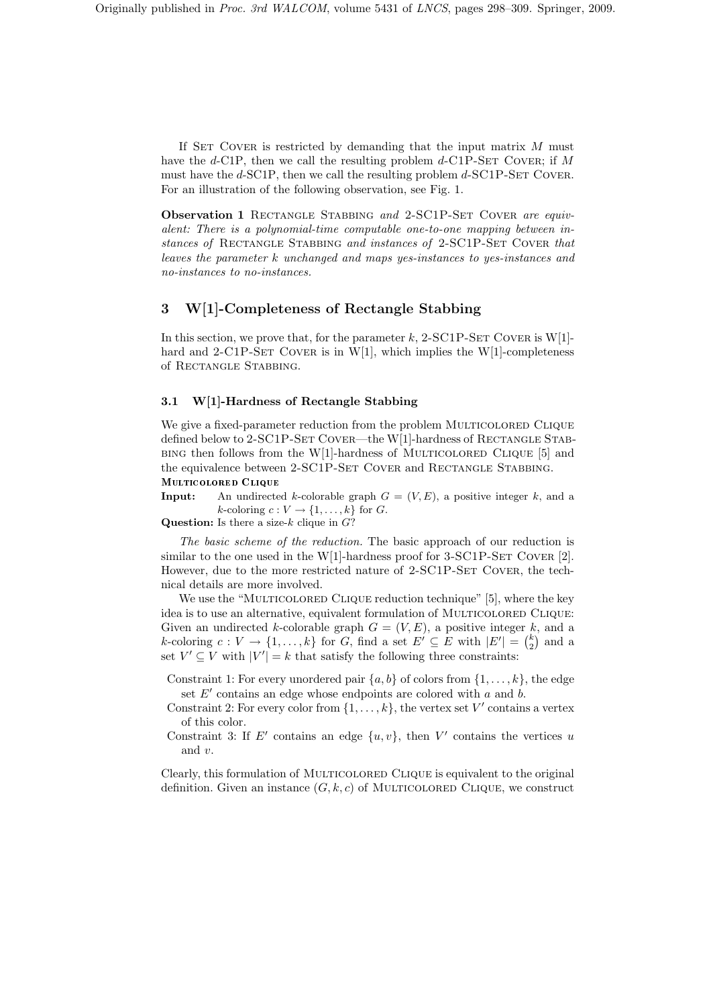If SET COVER is restricted by demanding that the input matrix  $M$  must have the d-C1P, then we call the resulting problem  $d$ -C1P-SET COVER; if M must have the  $d$ -SC1P, then we call the resulting problem  $d$ -SC1P-SET COVER. For an illustration of the following observation, see Fig. 1.

Observation 1 RECTANGLE STABBING and 2-SC1P-SET COVER are equivalent: There is a polynomial-time computable one-to-one mapping between instances of RECTANGLE STABBING and instances of 2-SC1P-SET COVER that leaves the parameter k unchanged and maps yes-instances to yes-instances and no-instances to no-instances.

# 3 W[1]-Completeness of Rectangle Stabbing

In this section, we prove that, for the parameter k, 2-SC1P-SET COVER is  $W[1]$ hard and  $2$ -C1P-SET COVER is in W[1], which implies the W[1]-completeness of Rectangle Stabbing.

### 3.1 W[1]-Hardness of Rectangle Stabbing

We give a fixed-parameter reduction from the problem MULTICOLORED CLIQUE defined below to 2-SC1P-SET COVER—the W[1]-hardness of RECTANGLE STAB- $BING$  then follows from the W[1]-hardness of MULTICOLORED CLIQUE [5] and the equivalence between 2-SC1P-SET COVER and RECTANGLE STABBING.

**Input:** An undirected k-colorable graph  $G = (V, E)$ , a positive integer k, and a k-coloring  $c: V \to \{1, \ldots, k\}$  for G.

Multi
olored Clique

Question: Is there a size- $k$  clique in  $G$ ?

The basic scheme of the reduction. The basic approach of our reduction is similar to the one used in the W[1]-hardness proof for  $3$ -SC1P-SET COVER [2]. However, due to the more restricted nature of 2-SC1P-SET COVER, the technical details are more involved.

We use the "MULTICOLORED CLIQUE reduction technique" [5], where the key idea is to use an alternative, equivalent formulation of MULTICOLORED CLIQUE: Given an undirected k-colorable graph  $G = (V, E)$ , a positive integer k, and a k-coloring  $c: V \to \{1, ..., k\}$  for G, find a set  $E' \subseteq E$  with  $|E'| = {k \choose 2}$  $\binom{k}{2}$  and a set  $V' \subseteq V$  with  $|V'| = k$  that satisfy the following three constraints:

Constraint 1: For every unordered pair  $\{a, b\}$  of colors from  $\{1, \ldots, k\}$ , the edge set  $E'$  contains an edge whose endpoints are colored with  $a$  and  $b$ .

Constraint 2: For every color from  $\{1, \ldots, k\}$ , the vertex set V' contains a vertex of this color.

Constraint 3: If E' contains an edge  $\{u, v\}$ , then V' contains the vertices u and v.

Clearly, this formulation of Multicolored Clique is equivalent to the original definition. Given an instance  $(G, k, c)$  of MULTICOLORED CLIQUE, we construct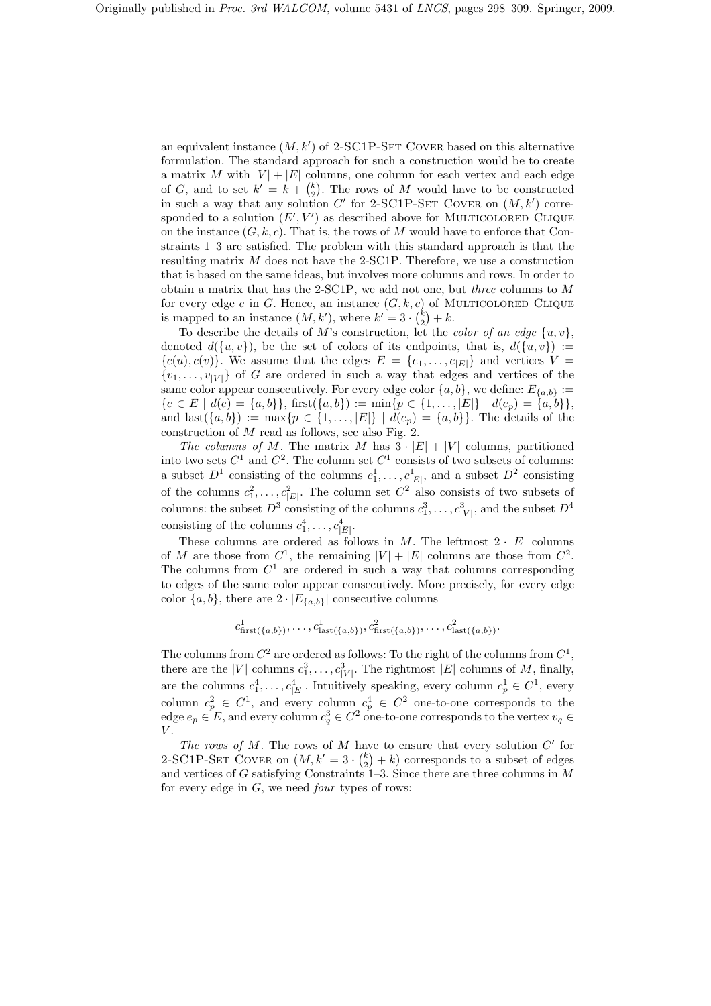an equivalent instance  $(M, k')$  of 2-SC1P-SET COVER based on this alternative formulation. The standard approach for such a construction would be to create a matrix M with  $|V| + |E|$  columns, one column for each vertex and each edge of G, and to set  $k' = k + \binom{k}{2}$  $\binom{k}{2}$ . The rows of M would have to be constructed in such a way that any solution  $C'$  for 2-SC1P-SET COVER on  $(M, k')$  corresponded to a solution  $(E', V')$  as described above for MULTICOLORED CLIQUE on the instance  $(G, k, c)$ . That is, the rows of M would have to enforce that Constraints 1–3 are satisfied. The problem with this standard approach is that the resulting matrix M does not have the 2-SC1P. Therefore, we use a construction that is based on the same ideas, but involves more columns and rows. In order to obtain a matrix that has the 2-SC1P, we add not one, but three columns to M for every edge e in G. Hence, an instance  $(G, k, c)$  of MULTICOLORED CLIQUE is mapped to an instance  $(M, k')$ , where  $k' = 3 \cdot {k \choose 2}$  ${k \choose 2} + k.$ 

To describe the details of M's construction, let the *color of an edge*  $\{u, v\}$ , denoted  $d({u, v})$ , be the set of colors of its endpoints, that is,  $d({u, v}) :=$  ${c(u), c(v)}$ . We assume that the edges  $E = {e_1, \ldots, e_{|E|}}$  and vertices  $V =$  $\{v_1, \ldots, v_{|V|}\}\$  of G are ordered in such a way that edges and vertices of the same color appear consecutively. For every edge color  $\{a, b\}$ , we define:  $E_{\{a,b\}}$  :=  ${e \in E \mid d(e) = {a, b}}$ , first $({a, b}) := min{p \in {1, ..., |E|}} \mid d(e_p) = {a, b}$ , and last $(\{a, b\}) := \max\{p \in \{1, ..., |E|\} \mid d(e_p) = \{a, b\}\}\.$  The details of the construction of  $M$  read as follows, see also Fig. 2.

The columns of M. The matrix M has  $3 \cdot |E| + |V|$  columns, partitioned into two sets  $C^1$  and  $C^2$ . The column set  $C^1$  consists of two subsets of columns: a subset  $D^1$  consisting of the columns  $c_1^1, \ldots, c_{|E|}^1$ , and a subset  $D^2$  consisting of the columns  $c_1^2, \ldots, c_{|E|}^2$ . The column set  $C^2$  also consists of two subsets of columns: the subset  $D^3$  consisting of the columns  $c_1^3, \ldots, c_{|V|}^3$ , and the subset  $D^4$ consisting of the columns  $c_1^4, \ldots, c_{|E|}^4$ .

These columns are ordered as follows in M. The leftmost  $2 \cdot |E|$  columns of M are those from  $C^1$ , the remaining  $|V| + |E|$  columns are those from  $C^2$ . The columns from  $C<sup>1</sup>$  are ordered in such a way that columns corresponding to edges of the same color appear consecutively. More precisely, for every edge color  $\{a, b\}$ , there are  $2 \cdot |E_{\{a, b\}}|$  consecutive columns

$$
c_{\text{first}(\{a,b\})}^1, \ldots, c_{\text{last}(\{a,b\})}^1, c_{\text{first}(\{a,b\})}^2, \ldots, c_{\text{last}(\{a,b\})}^2
$$

The columns from  $C^2$  are ordered as follows: To the right of the columns from  $C^1$ , there are the |V| columns  $c_1^3, \ldots, c_{|V|}^3$ . The rightmost |E| columns of M, finally, are the columns  $c_1^4, \ldots, c_{|E|}^4$ . Intuitively speaking, every column  $c_p^1 \in C^1$ , every column  $c_p^2 \in C^1$ , and every column  $c_p^4 \in C^2$  one-to-one corresponds to the edge  $e_p \in E$ , and every column  $c_q^3 \in C^2$  one-to-one corresponds to the vertex  $v_q \in$  $V.$ 

The rows of M. The rows of M have to ensure that every solution  $C'$  for 2-SC1P-SET COVER on  $(M, k' = 3 \cdot {k \choose 2})$  $\binom{k}{2} + k$  corresponds to a subset of edges and vertices of G satisfying Constraints  $1-3$ . Since there are three columns in M for every edge in  $G$ , we need *four* types of rows: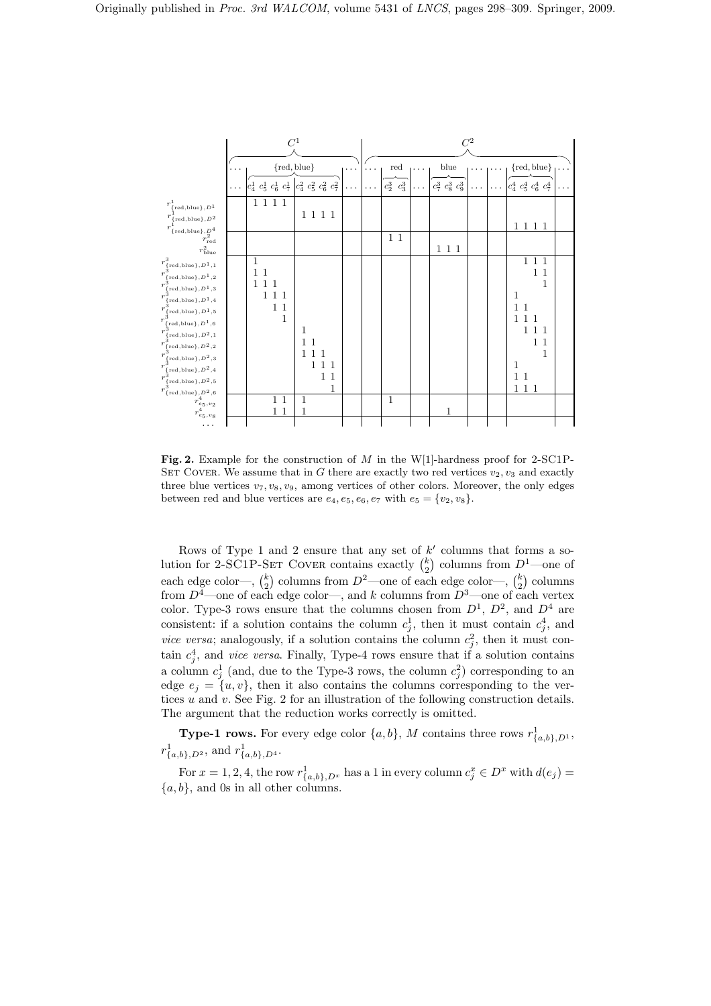

Fig. 2. Example for the construction of M in the W[1]-hardness proof for 2-SC1P-SET COVER. We assume that in G there are exactly two red vertices  $v_2, v_3$  and exactly three blue vertices  $v_7, v_8, v_9$ , among vertices of other colors. Moreover, the only edges between red and blue vertices are  $e_4, e_5, e_6, e_7$  with  $e_5 = \{v_2, v_8\}.$ 

Rows of Type 1 and 2 ensure that any set of  $k'$  columns that forms a solution for 2-SC1P-SET COVER contains exactly  $\binom{k}{2}$  $\binom{k}{2}$  columns from  $D^1$ —one of each edge color—,  $\binom{k}{2}$  $\binom{k}{2}$  columns from  $D^2$ —one of each edge color—,  $\binom{k}{2}$  $_{2}^{k}$ ) columns from  $D^4$ —one of each edge color—, and k columns from  $D^3$ —one of each vertex color. Type-3 rows ensure that the columns chosen from  $D^1$ ,  $D^2$ , and  $D^4$  are consistent: if a solution contains the column  $c_j^1$ , then it must contain  $c_j^4$ , and *vice versa*; analogously, if a solution contains the column  $c_j^2$ , then it must contain  $c_j^4$ , and *vice versa*. Finally, Type-4 rows ensure that if a solution contains a column  $c_j^1$  (and, due to the Type-3 rows, the column  $c_j^2$ ) corresponding to an edge  $e_j = \{u, v\}$ , then it also contains the columns corresponding to the vertices  $u$  and  $v$ . See Fig. 2 for an illustration of the following construction details. The argument that the reduction works correctly is omitted.

**Type-1 rows.** For every edge color  $\{a, b\}$ , M contains three rows  $r^1_{\{a, b\}, D^1}$ ,  $r^1_{\{a,b\},D^2}$ , and  $r^1_{\{a,b\},D^4}$ .

For  $x = 1, 2, 4$ , the row  $r^1_{\{a,b\},D^x}$  has a 1 in every column  $c_j^x \in D^x$  with  $d(e_j) =$  ${a, b}$ , and 0s in all other columns.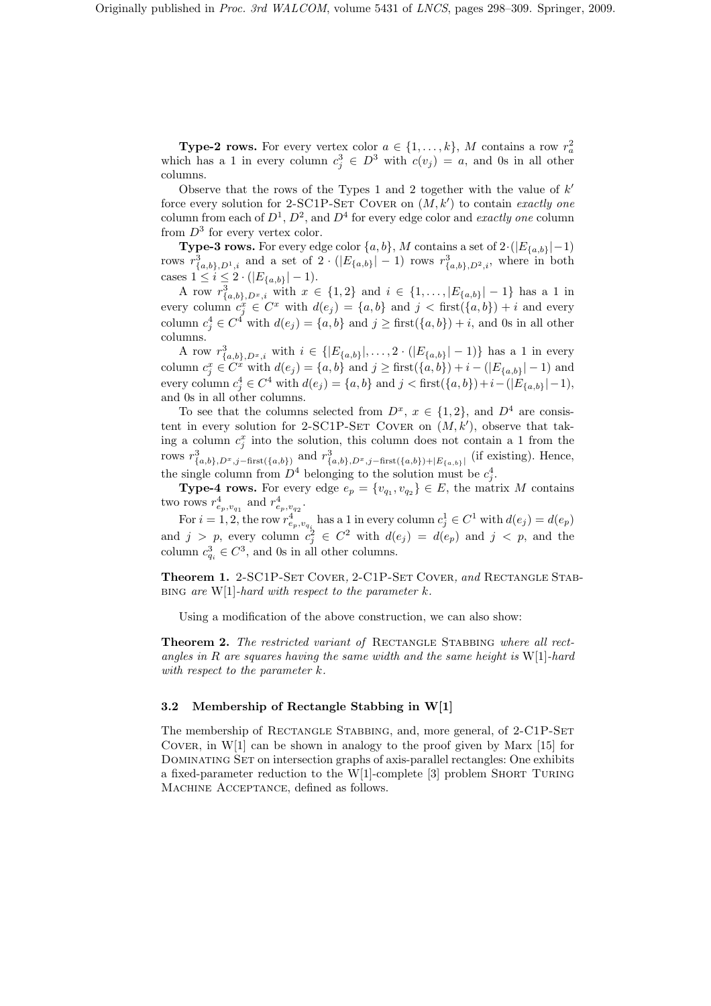**Type-2 rows.** For every vertex color  $a \in \{1, ..., k\}$ , M contains a row  $r_a^2$ which has a 1 in every column  $c_j^3 \in D^3$  with  $c(v_j) = a$ , and 0s in all other columns.

Observe that the rows of the Types 1 and 2 together with the value of  $k'$ force every solution for 2-SC1P-SET COVER on  $(M, k')$  to contain exactly one column from each of  $D^1$ ,  $D^2$ , and  $D^4$  for every edge color and *exactly one* column from  $D^3$  for every vertex color.

**Type-3 rows.** For every edge color  $\{a, b\}$ , M contains a set of  $2 \cdot (|E_{\{a,b\}}| - 1)$ rows  $r^3_{\{a,b\},D^1,i}$  and a set of  $2 \cdot (|E_{\{a,b\}}|-1)$  rows  $r^3_{\{a,b\},D^2,i}$ , where in both cases  $1 \leq i \leq 2 \cdot (|E_{\{a,b\}}| - 1).$ 

A row  $r^3_{\{a,b\},D^x,i}$  with  $x \in \{1,2\}$  and  $i \in \{1,\ldots,|E_{\{a,b\}}|-1\}$  has a 1 in every column  $c_j^x \in C^x$  with  $d(e_j) = \{a, b\}$  and  $j < \text{first}(\{a, b\}) + i$  and every column  $c_j^4 \in C^4$  with  $d(e_j) = \{a, b\}$  and  $j \geq \text{first}(\{a, b\}) + i$ , and 0s in all other columns.

A row  $r^3_{\{a,b\},D^x,i}$  with  $i \in \{|E_{\{a,b\}}|,\ldots,2\cdot(|E_{\{a,b\}}|-1)\}\)$  has a 1 in every column  $c_j^x \in C^x$  with  $d(e_j) = \{a, b\}$  and  $j \geq \text{first}(\{a, b\}) + i - (|E_{\{a, b\}}| - 1)$  and every column  $c_j^4 \in C^4$  with  $d(e_j) = \{a, b\}$  and  $j < \text{first}(\{a, b\}) + i - (|E_{\{a, b\}}| - 1)$ , and 0s in all other columns.

To see that the columns selected from  $D^x$ ,  $x \in \{1,2\}$ , and  $D^4$  are consistent in every solution for 2-SC1P-SET COVER on  $(M, k')$ , observe that taking a column  $c_j^x$  into the solution, this column does not contain a 1 from the rows  $r^3_{\{a,b\},D^x,j-\text{first}(\{a,b\})}$  and  $r^3_{\{a,b\},D^x,j-\text{first}(\{a,b\})+|E_{\{a,b\}}|}$  (if existing). Hence, the single column from  $D^4$  belonging to the solution must be  $c_j^4$ .

**Type-4 rows.** For every edge  $e_p = \{v_{q_1}, v_{q_2}\} \in E$ , the matrix M contains two rows  $r_{e_p, v_{q_1}}^4$  and  $r_{e_p, v_{q_2}}^4$ .

For  $i = 1, 2$ , the row  $r_{e_p, v_{q_i}}^4$  has a 1 in every column  $c_j^1 \in C^1$  with  $d(e_j) = d(e_p)$ and  $j > p$ , every column  $c_j^2 \in C^2$  with  $d(e_j) = d(e_p)$  and  $j < p$ , and the column  $c_{q_i}^3 \in C^3$ , and 0s in all other columns.

Theorem 1. 2-SC1P-SET COVER, 2-C1P-SET COVER, and RECTANGLE STAB-BING are W[1]-hard with respect to the parameter  $k$ .

Using a modification of the above construction, we can also show:

Theorem 2. The restricted variant of RECTANGLE STABBING where all rectangles in R are squares having the same width and the same height is  $W[1]$ -hard with respect to the parameter k.

### 3.2 Membership of Rectangle Stabbing in W[1]

The membership of RECTANGLE STABBING, and, more general, of 2-C1P-SET COVER, in  $W[1]$  can be shown in analogy to the proof given by Marx [15] for DOMINATING SET on intersection graphs of axis-parallel rectangles: One exhibits a fixed-parameter reduction to the W[1]-complete [3] problem Short Turing Machine Acceptance, defined as follows.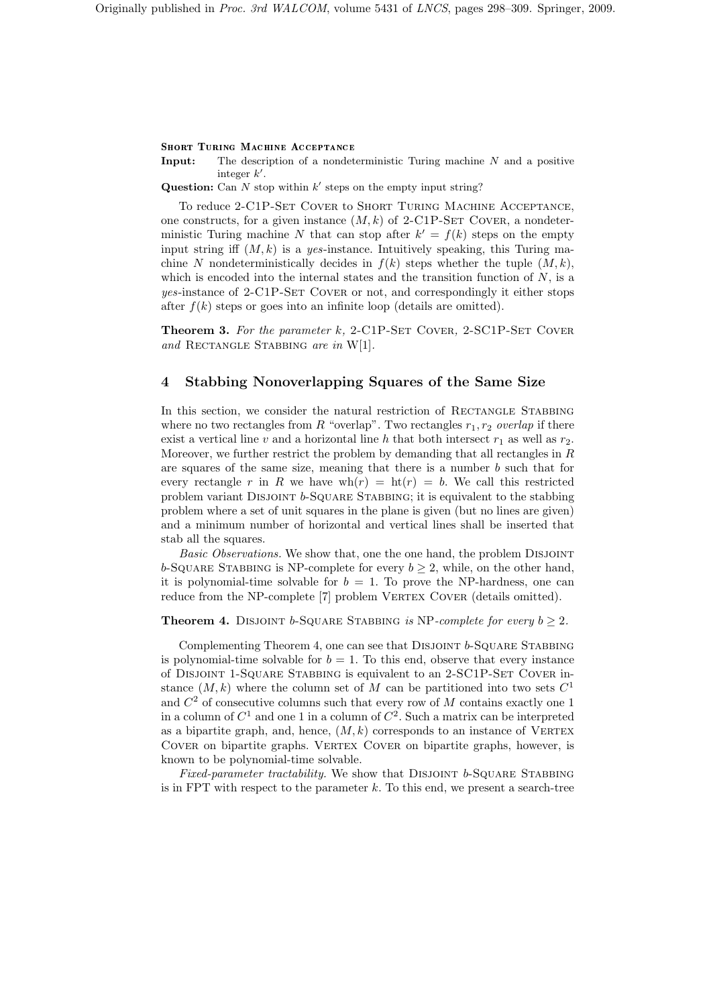Input: The description of a nondeterministic Turing machine N and a positive integer  $k'$ .

**Question:** Can  $N$  stop within  $k'$  steps on the empty input string?

To reduce 2-C1P-Set Cover to Short Turing Machine Acceptance, one constructs, for a given instance  $(M, k)$  of 2-C1P-SET COVER, a nondeterministic Turing machine N that can stop after  $k' = f(k)$  steps on the empty input string iff  $(M, k)$  is a yes-instance. Intuitively speaking, this Turing machine N nondeterministically decides in  $f(k)$  steps whether the tuple  $(M, k)$ , which is encoded into the internal states and the transition function of  $N$ , is a yes-instance of 2-C1P-SET COVER or not, and correspondingly it either stops after  $f(k)$  steps or goes into an infinite loop (details are omitted).

**Theorem 3.** For the parameter k, 2-C1P-SET COVER, 2-SC1P-SET COVER and RECTANGLE STABBING are in  $W[1]$ .

# 4 Stabbing Nonoverlapping Squares of the Same Size

In this section, we consider the natural restriction of RECTANGLE STABBING where no two rectangles from R "overlap". Two rectangles  $r_1, r_2$  overlap if there exist a vertical line v and a horizontal line h that both intersect  $r_1$  as well as  $r_2$ . Moreover, we further restrict the problem by demanding that all rectangles in  $R$ are squares of the same size, meaning that there is a number  $b$  such that for every rectangle r in R we have  $wh(r) = ht(r) = b$ . We call this restricted problem variant Disjoint b-Square Stabbing; it is equivalent to the stabbing problem where a set of unit squares in the plane is given (but no lines are given) and a minimum number of horizontal and vertical lines shall be inserted that stab all the squares.

Basic Observations. We show that, one the one hand, the problem DISJOINT b-SQUARE STABBING is NP-complete for every  $b \geq 2$ , while, on the other hand, it is polynomial-time solvable for  $b = 1$ . To prove the NP-hardness, one can reduce from the NP-complete [7] problem VERTEX COVER (details omitted).

# **Theorem 4.** DISJOINT b-SQUARE STABBING is NP-complete for every  $b > 2$ .

Complementing Theorem 4, one can see that DISJOINT  $b$ -SQUARE STABBING is polynomial-time solvable for  $b = 1$ . To this end, observe that every instance of Disjoint 1-Square Stabbing is equivalent to an 2-SC1P-Set Cover instance  $(M, k)$  where the column set of M can be partitioned into two sets  $C<sup>1</sup>$ and  $C<sup>2</sup>$  of consecutive columns such that every row of M contains exactly one 1 in a column of  $C^1$  and one 1 in a column of  $C^2$ . Such a matrix can be interpreted as a bipartite graph, and, hence,  $(M, k)$  corresponds to an instance of VERTEX COVER on bipartite graphs. VERTEX COVER on bipartite graphs, however, is known to be polynomial-time solvable.

Fixed-parameter tractability. We show that DISJOINT  $b$ -SQUARE STABBING is in FPT with respect to the parameter  $k$ . To this end, we present a search-tree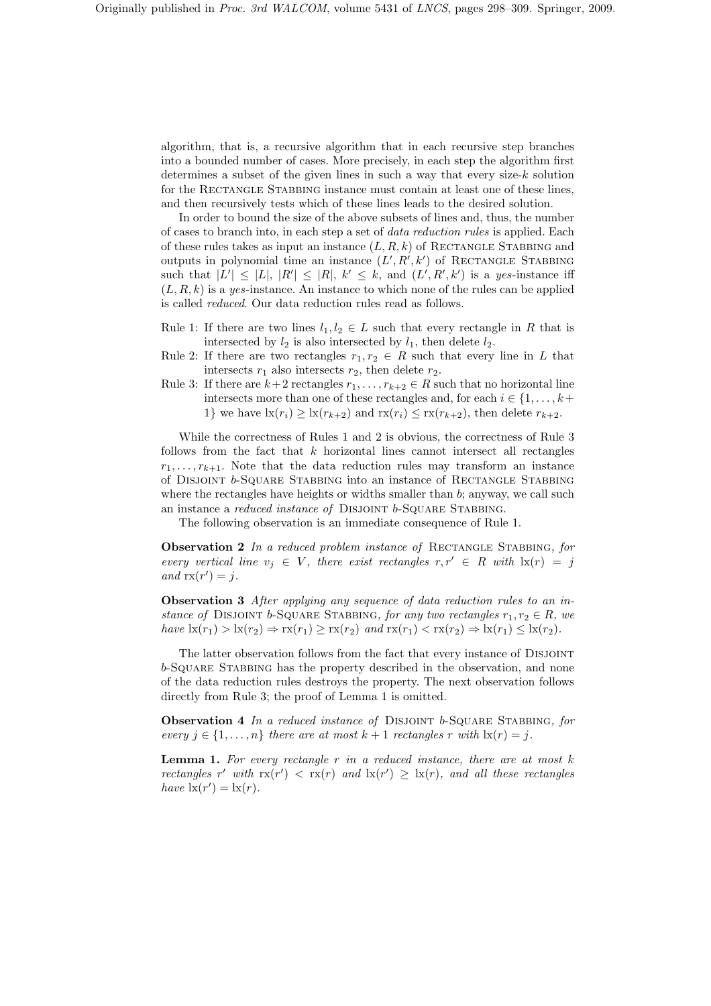algorithm, that is, a recursive algorithm that in each recursive step branches into a bounded number of cases. More precisely, in each step the algorithm first determines a subset of the given lines in such a way that every size-k solution for the RECTANGLE STABBING instance must contain at least one of these lines, and then recursively tests which of these lines leads to the desired solution.

In order to bound the size of the above subsets of lines and, thus, the number of cases to branch into, in each step a set of data reduction rules is applied. Each of these rules takes as input an instance  $(L, R, k)$  of RECTANGLE STABBING and outputs in polynomial time an instance  $(L', R', k')$  of RECTANGLE STABBING such that  $|L'| \leq |L|, |R'| \leq |R|, k' \leq k$ , and  $(L', R', k')$  is a yes-instance iff  $(L, R, k)$  is a yes-instance. An instance to which none of the rules can be applied is called reduced. Our data reduction rules read as follows.

- Rule 1: If there are two lines  $l_1, l_2 \in L$  such that every rectangle in R that is intersected by  $l_2$  is also intersected by  $l_1$ , then delete  $l_2$ .
- Rule 2: If there are two rectangles  $r_1, r_2 \in R$  such that every line in L that intersects  $r_1$  also intersects  $r_2$ , then delete  $r_2$ .
- Rule 3: If there are  $k+2$  rectangles  $r_1, \ldots, r_{k+2} \in R$  such that no horizontal line intersects more than one of these rectangles and, for each  $i \in \{1, \ldots, k+\}$ 1} we have  $\text{lx}(r_i) \geq \text{lx}(r_{k+2})$  and  $\text{rx}(r_i) \leq \text{rx}(r_{k+2})$ , then delete  $r_{k+2}$ .

While the correctness of Rules 1 and 2 is obvious, the correctness of Rule 3 follows from the fact that  $k$  horizontal lines cannot intersect all rectangles  $r_1, \ldots, r_{k+1}$ . Note that the data reduction rules may transform an instance of Disjoint b-Square Stabbing into an instance of Rectangle Stabbing where the rectangles have heights or widths smaller than  $b$ ; anyway, we call such an instance a *reduced instance of* DISJOINT *b*-SQUARE STABBING.

The following observation is an immediate consequence of Rule 1.

Observation 2 In a reduced problem instance of RECTANGLE STABBING, for every vertical line  $v_j \in V$ , there exist rectangles  $r, r' \in R$  with  $\text{lx}(r) = j$ and  $\operatorname{rx}(r') = j$ .

Observation 3 After applying any sequence of data reduction rules to an instance of DISJOINT b-SQUARE STABBING, for any two rectangles  $r_1, r_2 \in R$ , we have  $\text{lx}(r_1) > \text{lx}(r_2) \Rightarrow \text{rx}(r_1) \geq \text{rx}(r_2)$  and  $\text{rx}(r_1) < \text{rx}(r_2) \Rightarrow \text{lx}(r_1) \leq \text{lx}(r_2)$ .

The latter observation follows from the fact that every instance of Disjoint b-Square Stabbing has the property described in the observation, and none of the data reduction rules destroys the property. The next observation follows directly from Rule 3; the proof of Lemma 1 is omitted.

Observation 4 In a reduced instance of DISJOINT b-SQUARE STABBING, for every  $j \in \{1, \ldots, n\}$  there are at most  $k + 1$  rectangles r with  $\mathrm{lx}(r) = j$ .

**Lemma 1.** For every rectangle r in a reduced instance, there are at most  $k$ rectangles r' with  $rx(r') < rx(r)$  and  $lx(r') \geq lx(r)$ , and all these rectangles have  $\mathrm{lx}(r') = \mathrm{lx}(r)$ .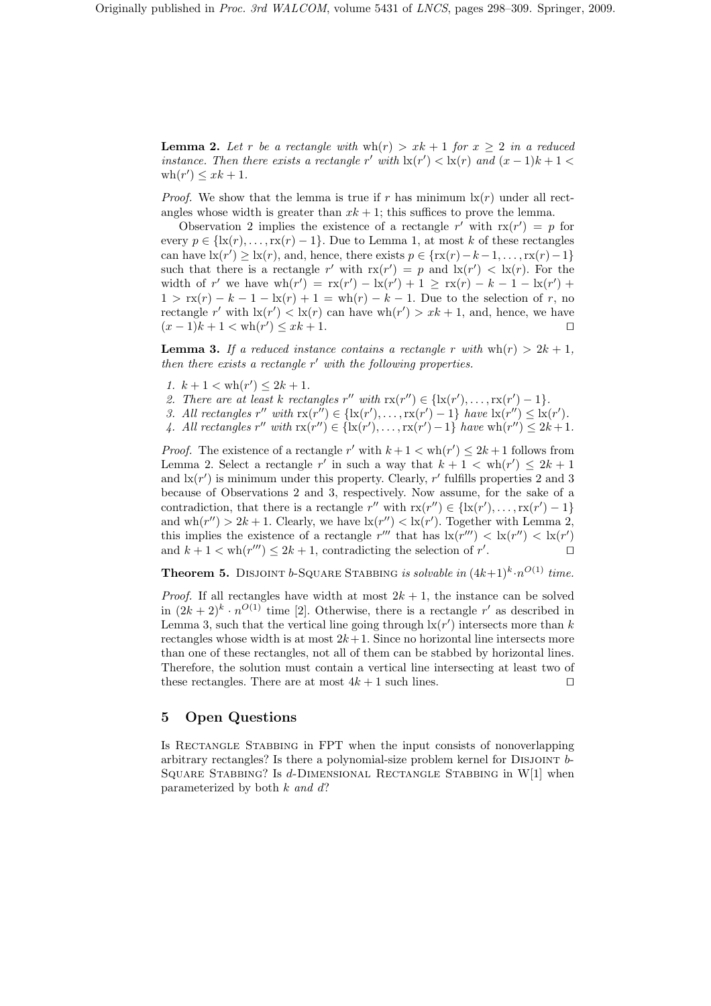**Lemma 2.** Let r be a rectangle with  $wh(r) > xk + 1$  for  $x \geq 2$  in a reduced instance. Then there exists a rectangle r' with  $\ln(r') < \ln(r)$  and  $(x-1)k + 1 <$  $\operatorname{wh}(r') \leq xk + 1.$ 

*Proof.* We show that the lemma is true if r has minimum  $\mathbf{x}(r)$  under all rectangles whose width is greater than  $x k + 1$ ; this suffices to prove the lemma.

Observation 2 implies the existence of a rectangle r' with  $rx(r') = p$  for every  $p \in \{k(r), \ldots, k(r)-1\}$ . Due to Lemma 1, at most k of these rectangles can have  $\mathrm{lx}(r') \geq \mathrm{lx}(r)$ , and, hence, there exists  $p \in \{ \mathrm{rx}(r) - k - 1, \ldots, \mathrm{rx}(r) - 1 \}$ such that there is a rectangle r' with  $rx(r') = p$  and  $lx(r') < lx(r)$ . For the width of r' we have  $wh(r') = rx(r') - lx(r') + 1 \geq rx(r) - k - 1 - lx(r') +$  $1 > \text{rx}(r) - k - 1 - \text{lx}(r) + 1 = \text{wh}(r) - k - 1$ . Due to the selection of r, no rectangle r' with  $\text{lx}(r') < \text{lx}(r)$  can have  $\text{wh}(r') > xk + 1$ , and, hence, we have  $(x-1)k + 1 < \text{wh}(r') \leq xk + 1.$ 

**Lemma 3.** If a reduced instance contains a rectangle r with  $wh(r) > 2k + 1$ . then there exists a rectangle  $r'$  with the following properties.

- 1.  $k + 1 < \text{wh}(r') \leq 2k + 1$ .
- 2. There are at least k rectangles  $r''$  with  $rx(r'') \in \{lx(r'), \ldots, rx(r') 1\}$ .
- 3. All rectangles  $r''$  with  $rx(r'') \in \{lx(r'), \ldots, rx(r')-1\}$  have  $lx(r'') \leq lx(r')$ .
- 4. All rectangles  $r''$  with  $rx(r'') \in \{lx(r'), \ldots, rx(r')-1\}$  have  $wh(r'') \leq 2k+1$ .

*Proof.* The existence of a rectangle r' with  $k + 1 < \text{wh}(r') \leq 2k + 1$  follows from Lemma 2. Select a rectangle r' in such a way that  $k + 1 < wh(r') \leq 2k + 1$ and  $\mathrm{lx}(r')$  is minimum under this property. Clearly,  $r'$  fulfills properties 2 and 3 because of Observations 2 and 3, respectively. Now assume, for the sake of a contradiction, that there is a rectangle  $r''$  with  $rx(r'') \in \{lx(r'), \ldots, rx(r') - 1\}$ and  $wh(r'') > 2k + 1$ . Clearly, we have  $\text{lx}(r'') < \text{lx}(r')$ . Together with Lemma 2, this implies the existence of a rectangle  $r'''$  that has  $\text{lx}(r''') < \text{lx}(r'') < \text{lx}(r')$ and  $k + 1 < \text{wh}(r''') \leq 2k + 1$ , contradicting the selection of  $r'$ . ⊓⊔

**Theorem 5.** DISJOINT b-SQUARE STABBING is solvable in  $(4k+1)^k \cdot n^{O(1)}$  time.

*Proof.* If all rectangles have width at most  $2k + 1$ , the instance can be solved in  $(2k+2)^k \cdot n^{O(1)}$  time [2]. Otherwise, there is a rectangle r' as described in Lemma 3, such that the vertical line going through  $\text{lx}(r')$  intersects more than k rectangles whose width is at most  $2k+1$ . Since no horizontal line intersects more than one of these rectangles, not all of them can be stabbed by horizontal lines. Therefore, the solution must contain a vertical line intersecting at least two of these rectangles. There are at most  $4k + 1$  such lines. □

# 5 Open Questions

Is RECTANGLE STABBING in FPT when the input consists of nonoverlapping arbitrary rectangles? Is there a polynomial-size problem kernel for DISJOINT  $b$ -SQUARE STABBING? Is  $d$ -DIMENSIONAL RECTANGLE STABBING in W[1] when parameterized by both  $k$  and  $d$ ?